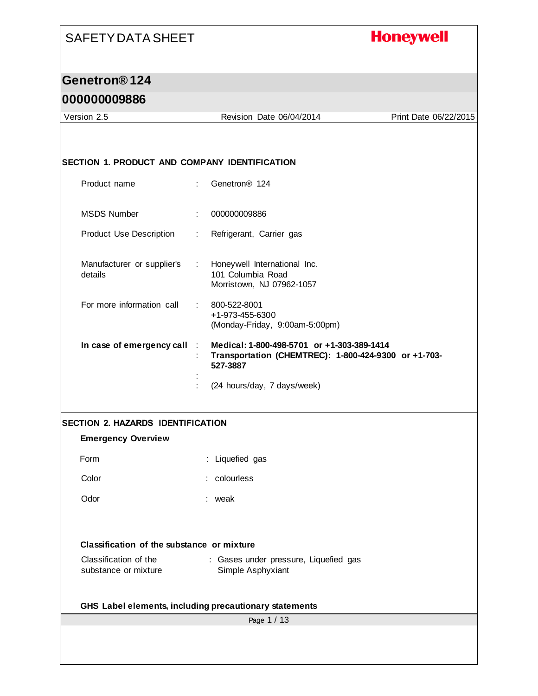## **Honeywell**

## **Genetron® 124**

| Version 2.5                                            |             | Revision Date 06/04/2014                                                                                       | Print Date 06/22/2015 |  |  |
|--------------------------------------------------------|-------------|----------------------------------------------------------------------------------------------------------------|-----------------------|--|--|
|                                                        |             |                                                                                                                |                       |  |  |
|                                                        |             |                                                                                                                |                       |  |  |
| SECTION 1. PRODUCT AND COMPANY IDENTIFICATION          |             |                                                                                                                |                       |  |  |
| Product name                                           | ÷           | Genetron <sup>®</sup> 124                                                                                      |                       |  |  |
| <b>MSDS Number</b>                                     | ÷           | 000000009886                                                                                                   |                       |  |  |
| Product Use Description                                | ÷           | Refrigerant, Carrier gas                                                                                       |                       |  |  |
| Manufacturer or supplier's<br>details                  |             | : Honeywell International Inc.<br>101 Columbia Road<br>Morristown, NJ 07962-1057                               |                       |  |  |
| For more information call                              | t.          | 800-522-8001<br>+1-973-455-6300<br>(Monday-Friday, 9:00am-5:00pm)                                              |                       |  |  |
| In case of emergency call                              |             | Medical: 1-800-498-5701 or +1-303-389-1414<br>Transportation (CHEMTREC): 1-800-424-9300 or +1-703-<br>527-3887 |                       |  |  |
|                                                        |             | (24 hours/day, 7 days/week)                                                                                    |                       |  |  |
| <b>SECTION 2. HAZARDS IDENTIFICATION</b>               |             |                                                                                                                |                       |  |  |
| <b>Emergency Overview</b>                              |             |                                                                                                                |                       |  |  |
| Form                                                   |             | : Liquefied gas                                                                                                |                       |  |  |
| Color                                                  |             | : colourless                                                                                                   |                       |  |  |
| Odor                                                   |             | : weak                                                                                                         |                       |  |  |
|                                                        |             |                                                                                                                |                       |  |  |
| Classification of the substance or mixture             |             |                                                                                                                |                       |  |  |
| Classification of the<br>substance or mixture          |             | : Gases under pressure, Liquefied gas<br>Simple Asphyxiant                                                     |                       |  |  |
| GHS Label elements, including precautionary statements |             |                                                                                                                |                       |  |  |
|                                                        | Page 1 / 13 |                                                                                                                |                       |  |  |
|                                                        |             |                                                                                                                |                       |  |  |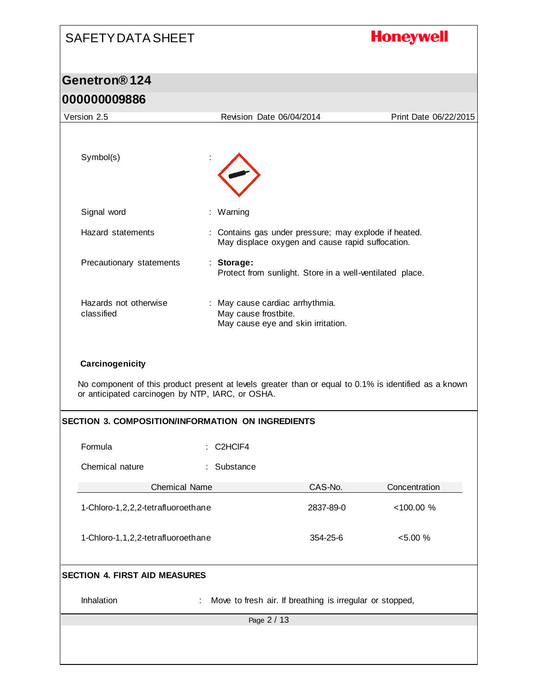# SAFETY DATA SHEET **Honeywell Genetron® 124 000000009886** Version 2.5 Revision Date 06/04/2014 Print Date 06/22/2015 Symbol(s) Signal word : Warning Hazard statements : Contains gas under pressure; may explode if heated. May displace oxygen and cause rapid suffocation. Precautionary statements : **Storage:**  Protect from sunlight. Store in a well-ventilated place. Hazards not otherwise : May cause cardiac arrhythmia. classified May cause frostbite. May cause eye and skin irritation. **Carcinogenicity** No component of this product present at levels greater than or equal to 0.1% is identified as a known or anticipated carcinogen by NTP, IARC, or OSHA. **SECTION 3. COMPOSITION/INFORMATION ON INGREDIENTS** Formula : C2HClF4 Chemical nature : Substance Chemical Name CAS-No. Concentration 1-Chloro-1,2,2,2-tetrafluoroethane 2837-89-0 <100.00 % 1-Chloro-1,1,2,2-tetrafluoroethane 354-25-6 <5.00 % **SECTION 4. FIRST AID MEASURES** Inhalation : Move to fresh air. If breathing is irregular or stopped, Page 2 / 13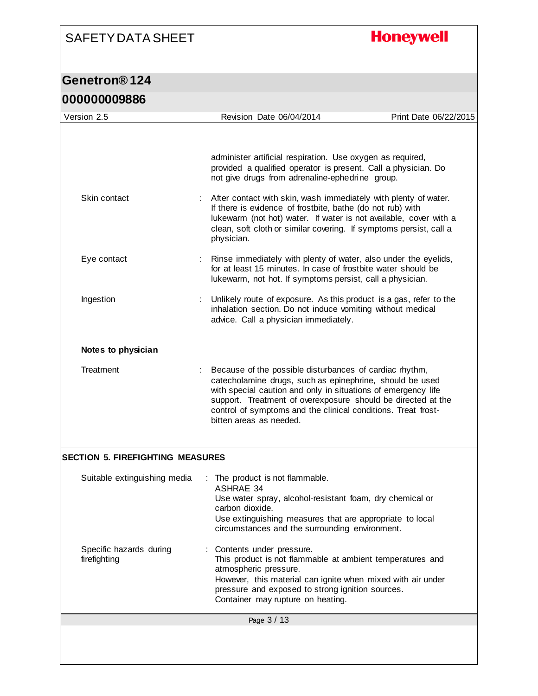## **Honeywell**

#### **Genetron® 124 000000009886**

| <u>UUUUUUUUJOOO</u>                     |                                                                                                                                                                                                                                                                                                                                                  |                       |
|-----------------------------------------|--------------------------------------------------------------------------------------------------------------------------------------------------------------------------------------------------------------------------------------------------------------------------------------------------------------------------------------------------|-----------------------|
| Version 2.5                             | Revision Date 06/04/2014                                                                                                                                                                                                                                                                                                                         | Print Date 06/22/2015 |
|                                         | administer artificial respiration. Use oxygen as required,<br>provided a qualified operator is present. Call a physician. Do<br>not give drugs from adrenaline-ephedrine group.                                                                                                                                                                  |                       |
| Skin contact                            | After contact with skin, wash immediately with plenty of water.<br>If there is evidence of frostbite, bathe (do not rub) with<br>lukewarm (not hot) water. If water is not available, cover with a<br>clean, soft cloth or similar covering. If symptoms persist, call a<br>physician.                                                           |                       |
| Eye contact                             | Rinse immediately with plenty of water, also under the eyelids,<br>for at least 15 minutes. In case of frostbite water should be<br>lukewarm, not hot. If symptoms persist, call a physician.                                                                                                                                                    |                       |
| Ingestion                               | Unlikely route of exposure. As this product is a gas, refer to the<br>inhalation section. Do not induce vomiting without medical<br>advice. Call a physician immediately.                                                                                                                                                                        |                       |
| Notes to physician                      |                                                                                                                                                                                                                                                                                                                                                  |                       |
| Treatment                               | Because of the possible disturbances of cardiac rhythm,<br>catecholamine drugs, such as epinephrine, should be used<br>with special caution and only in situations of emergency life<br>support. Treatment of overexposure should be directed at the<br>control of symptoms and the clinical conditions. Treat frost-<br>bitten areas as needed. |                       |
| <b>SECTION 5. FIREFIGHTING MEASURES</b> |                                                                                                                                                                                                                                                                                                                                                  |                       |
| Suitable extinguishing media            | The product is not flammable.<br><b>ASHRAE 34</b><br>Use water spray, alcohol-resistant foam, dry chemical or<br>carbon dioxide.<br>Use extinguishing measures that are appropriate to local<br>circumstances and the surrounding environment.                                                                                                   |                       |
| Specific hazards during<br>firefighting | Contents under pressure.<br>This product is not flammable at ambient temperatures and<br>atmospheric pressure.<br>However, this material can ignite when mixed with air under<br>pressure and exposed to strong ignition sources.<br>Container may rupture on heating.                                                                           |                       |
|                                         | Page 3 / 13                                                                                                                                                                                                                                                                                                                                      |                       |
|                                         |                                                                                                                                                                                                                                                                                                                                                  |                       |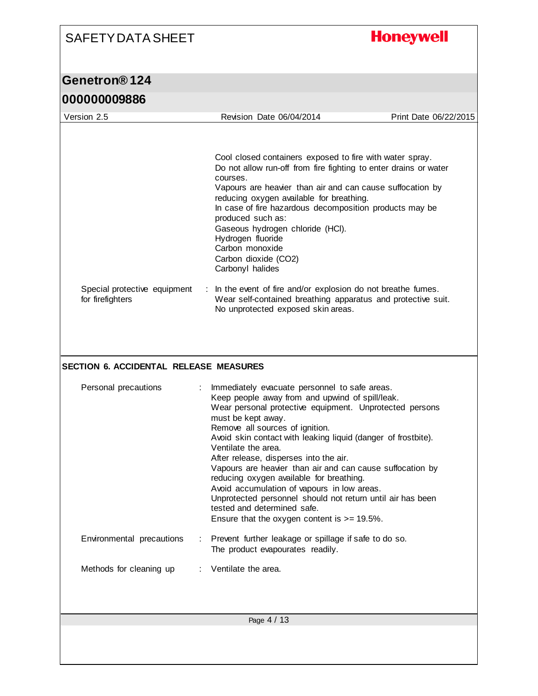#### **Honeywell** SAFETY DATA SHEET **Genetron® 124 000000009886** Version 2.5 Revision Date 06/04/2014 Print Date 06/22/2015 Cool closed containers exposed to fire with water spray. Do not allow run-off from fire fighting to enter drains or water courses. Vapours are heavier than air and can cause suffocation by reducing oxygen available for breathing. In case of fire hazardous decomposition products may be produced such as: Gaseous hydrogen chloride (HCl). Hydrogen fluoride Carbon monoxide Carbon dioxide (CO2) Carbonyl halides Special protective equipment : In the event of fire and/or explosion do not breathe fumes. for firefighters Wear self-contained breathing apparatus and protective suit. No unprotected exposed skin areas. **SECTION 6. ACCIDENTAL RELEASE MEASURES** Personal precautions : Immediately evacuate personnel to safe areas. Keep people away from and upwind of spill/leak. Wear personal protective equipment. Unprotected persons must be kept away. Remove all sources of ignition. Avoid skin contact with leaking liquid (danger of frostbite). Ventilate the area. After release, disperses into the air. Vapours are heavier than air and can cause suffocation by reducing oxygen available for breathing. Avoid accumulation of vapours in low areas. Unprotected personnel should not return until air has been tested and determined safe. Ensure that the oxygen content is >= 19.5%. Environmental precautions : Prevent further leakage or spillage if safe to do so. The product evapourates readily. Methods for cleaning up : Ventilate the area. Page 4 / 13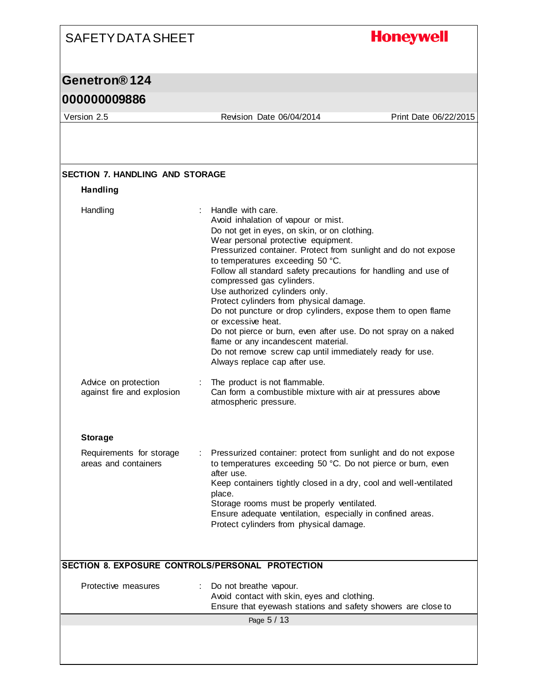## **Honeywell**

### **Genetron® 124**

### **000000009886**

Version 2.5 Revision Date 06/04/2014 Print Date 06/22/2015

| <b>Handling</b>                                    |                                                                                                                                                                                                                                                                                                                                                                                                                                                                                                                                                                                                                                                                                                                                                            |
|----------------------------------------------------|------------------------------------------------------------------------------------------------------------------------------------------------------------------------------------------------------------------------------------------------------------------------------------------------------------------------------------------------------------------------------------------------------------------------------------------------------------------------------------------------------------------------------------------------------------------------------------------------------------------------------------------------------------------------------------------------------------------------------------------------------------|
| Handling                                           | $\mathbb{R}^{\mathbb{Z}}$<br>Handle with care.<br>Avoid inhalation of vapour or mist.<br>Do not get in eyes, on skin, or on clothing.<br>Wear personal protective equipment.<br>Pressurized container. Protect from sunlight and do not expose<br>to temperatures exceeding 50 °C.<br>Follow all standard safety precautions for handling and use of<br>compressed gas cylinders.<br>Use authorized cylinders only.<br>Protect cylinders from physical damage.<br>Do not puncture or drop cylinders, expose them to open flame<br>or excessive heat.<br>Do not pierce or burn, even after use. Do not spray on a naked<br>flame or any incandescent material.<br>Do not remove screw cap until immediately ready for use.<br>Always replace cap after use. |
| Advice on protection<br>against fire and explosion | : The product is not flammable.<br>Can form a combustible mixture with air at pressures above<br>atmospheric pressure.                                                                                                                                                                                                                                                                                                                                                                                                                                                                                                                                                                                                                                     |
| <b>Storage</b>                                     |                                                                                                                                                                                                                                                                                                                                                                                                                                                                                                                                                                                                                                                                                                                                                            |
| Requirements for storage<br>areas and containers   | Pressurized container: protect from sunlight and do not expose<br>to temperatures exceeding 50 °C. Do not pierce or burn, even<br>after use.<br>Keep containers tightly closed in a dry, cool and well-ventilated<br>place.<br>Storage rooms must be properly ventilated.<br>Ensure adequate ventilation, especially in confined areas.<br>Protect cylinders from physical damage.                                                                                                                                                                                                                                                                                                                                                                         |
|                                                    | SECTION 8. EXPOSURE CONTROLS/PERSONAL PROTECTION                                                                                                                                                                                                                                                                                                                                                                                                                                                                                                                                                                                                                                                                                                           |
| Protective measures                                | Do not breathe vapour.<br>Avoid contact with skin, eyes and clothing.<br>Ensure that eyewash stations and safety showers are close to                                                                                                                                                                                                                                                                                                                                                                                                                                                                                                                                                                                                                      |
|                                                    | Page 5 / 13                                                                                                                                                                                                                                                                                                                                                                                                                                                                                                                                                                                                                                                                                                                                                |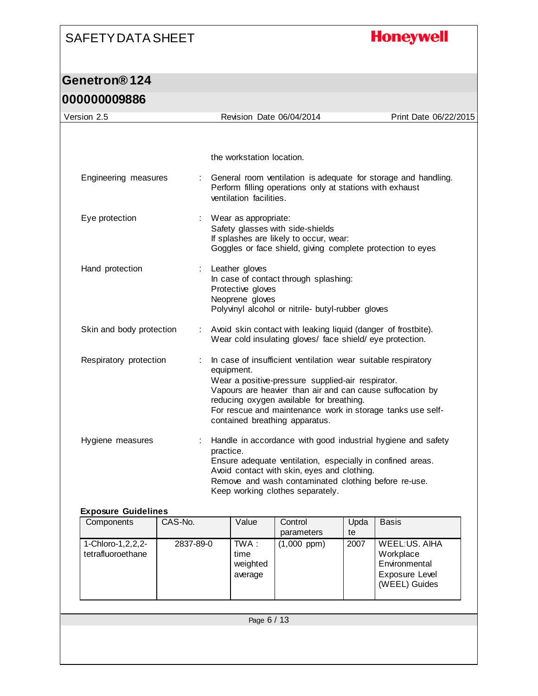## **Honeywell**

#### **Genetron® 124 000000009886**

| the workstation location.<br>General room ventilation is adequate for storage and handling.<br>Engineering measures<br>Perform filling operations only at stations with exhaust<br>ventilation facilities.<br>Eye protection<br>Wear as appropriate:<br>Safety glasses with side-shields<br>If splashes are likely to occur, wear:<br>Goggles or face shield, giving complete protection to eyes<br>Hand protection<br>Leather gloves<br>÷<br>In case of contact through splashing:<br>Protective gloves<br>Neoprene gloves<br>Polyvinyl alcohol or nitrile- butyl-rubber gloves<br>Skin and body protection<br>: Avoid skin contact with leaking liquid (danger of frostbite).<br>Wear cold insulating gloves/ face shield/ eye protection.<br>Respiratory protection<br>In case of insufficient ventilation wear suitable respiratory<br>equipment.<br>Wear a positive-pressure supplied-air respirator.<br>Vapours are heavier than air and can cause suffocation by<br>reducing oxygen available for breathing.<br>For rescue and maintenance work in storage tanks use self-<br>contained breathing apparatus.<br>Handle in accordance with good industrial hygiene and safety<br>Hygiene measures<br>practice.<br>Ensure adequate ventilation, especially in confined areas.<br>Avoid contact with skin, eyes and clothing.<br>Remove and wash contaminated clothing before re-use.<br>Keep working clothes separately.<br><b>Exposure Guidelines</b><br>Value<br>Components<br>CAS-No.<br>Control<br>Upda<br><b>Basis</b><br>parameters<br>te<br>1-Chloro-1, 2, 2, 2-<br>$TWA$ :<br>WEEL:US. AIHA<br>2837-89-0<br>$(1,000$ ppm $)$<br>2007<br>tetrafluoroethane<br>time<br>Workplace<br>weighted<br>Environmental<br>Exposure Level<br>average<br>(WEEL) Guides | Version 2.5 |  |  | Revision Date 06/04/2014 |  | Print Date 06/22/2015 |  |
|------------------------------------------------------------------------------------------------------------------------------------------------------------------------------------------------------------------------------------------------------------------------------------------------------------------------------------------------------------------------------------------------------------------------------------------------------------------------------------------------------------------------------------------------------------------------------------------------------------------------------------------------------------------------------------------------------------------------------------------------------------------------------------------------------------------------------------------------------------------------------------------------------------------------------------------------------------------------------------------------------------------------------------------------------------------------------------------------------------------------------------------------------------------------------------------------------------------------------------------------------------------------------------------------------------------------------------------------------------------------------------------------------------------------------------------------------------------------------------------------------------------------------------------------------------------------------------------------------------------------------------------------------------------------------------------------------------------------------------------------------------------------|-------------|--|--|--------------------------|--|-----------------------|--|
|                                                                                                                                                                                                                                                                                                                                                                                                                                                                                                                                                                                                                                                                                                                                                                                                                                                                                                                                                                                                                                                                                                                                                                                                                                                                                                                                                                                                                                                                                                                                                                                                                                                                                                                                                                        |             |  |  |                          |  |                       |  |
|                                                                                                                                                                                                                                                                                                                                                                                                                                                                                                                                                                                                                                                                                                                                                                                                                                                                                                                                                                                                                                                                                                                                                                                                                                                                                                                                                                                                                                                                                                                                                                                                                                                                                                                                                                        |             |  |  |                          |  |                       |  |
|                                                                                                                                                                                                                                                                                                                                                                                                                                                                                                                                                                                                                                                                                                                                                                                                                                                                                                                                                                                                                                                                                                                                                                                                                                                                                                                                                                                                                                                                                                                                                                                                                                                                                                                                                                        |             |  |  |                          |  |                       |  |
|                                                                                                                                                                                                                                                                                                                                                                                                                                                                                                                                                                                                                                                                                                                                                                                                                                                                                                                                                                                                                                                                                                                                                                                                                                                                                                                                                                                                                                                                                                                                                                                                                                                                                                                                                                        |             |  |  |                          |  |                       |  |
|                                                                                                                                                                                                                                                                                                                                                                                                                                                                                                                                                                                                                                                                                                                                                                                                                                                                                                                                                                                                                                                                                                                                                                                                                                                                                                                                                                                                                                                                                                                                                                                                                                                                                                                                                                        |             |  |  |                          |  |                       |  |
|                                                                                                                                                                                                                                                                                                                                                                                                                                                                                                                                                                                                                                                                                                                                                                                                                                                                                                                                                                                                                                                                                                                                                                                                                                                                                                                                                                                                                                                                                                                                                                                                                                                                                                                                                                        |             |  |  |                          |  |                       |  |
|                                                                                                                                                                                                                                                                                                                                                                                                                                                                                                                                                                                                                                                                                                                                                                                                                                                                                                                                                                                                                                                                                                                                                                                                                                                                                                                                                                                                                                                                                                                                                                                                                                                                                                                                                                        |             |  |  |                          |  |                       |  |
|                                                                                                                                                                                                                                                                                                                                                                                                                                                                                                                                                                                                                                                                                                                                                                                                                                                                                                                                                                                                                                                                                                                                                                                                                                                                                                                                                                                                                                                                                                                                                                                                                                                                                                                                                                        |             |  |  |                          |  |                       |  |
|                                                                                                                                                                                                                                                                                                                                                                                                                                                                                                                                                                                                                                                                                                                                                                                                                                                                                                                                                                                                                                                                                                                                                                                                                                                                                                                                                                                                                                                                                                                                                                                                                                                                                                                                                                        |             |  |  |                          |  |                       |  |
|                                                                                                                                                                                                                                                                                                                                                                                                                                                                                                                                                                                                                                                                                                                                                                                                                                                                                                                                                                                                                                                                                                                                                                                                                                                                                                                                                                                                                                                                                                                                                                                                                                                                                                                                                                        |             |  |  |                          |  |                       |  |
|                                                                                                                                                                                                                                                                                                                                                                                                                                                                                                                                                                                                                                                                                                                                                                                                                                                                                                                                                                                                                                                                                                                                                                                                                                                                                                                                                                                                                                                                                                                                                                                                                                                                                                                                                                        |             |  |  |                          |  |                       |  |
|                                                                                                                                                                                                                                                                                                                                                                                                                                                                                                                                                                                                                                                                                                                                                                                                                                                                                                                                                                                                                                                                                                                                                                                                                                                                                                                                                                                                                                                                                                                                                                                                                                                                                                                                                                        |             |  |  |                          |  |                       |  |
|                                                                                                                                                                                                                                                                                                                                                                                                                                                                                                                                                                                                                                                                                                                                                                                                                                                                                                                                                                                                                                                                                                                                                                                                                                                                                                                                                                                                                                                                                                                                                                                                                                                                                                                                                                        |             |  |  |                          |  |                       |  |
| Page 6 / 13                                                                                                                                                                                                                                                                                                                                                                                                                                                                                                                                                                                                                                                                                                                                                                                                                                                                                                                                                                                                                                                                                                                                                                                                                                                                                                                                                                                                                                                                                                                                                                                                                                                                                                                                                            |             |  |  |                          |  |                       |  |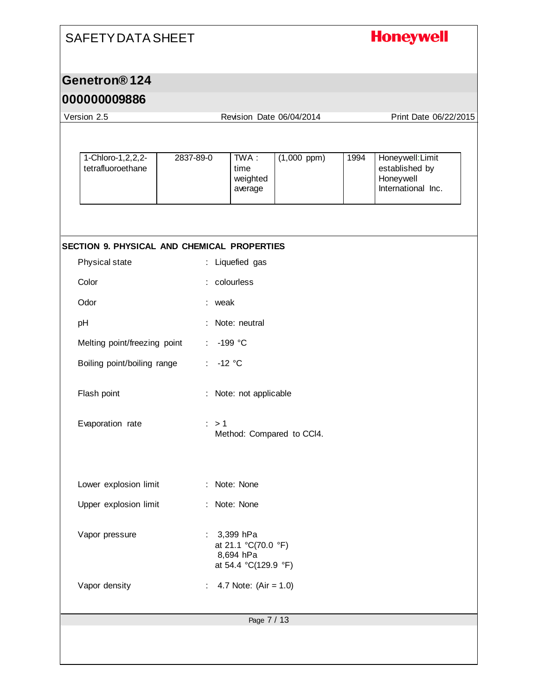## **Honeywell**

### **Genetron® 124**

| Version 2.5                                  | Revision Date 06/04/2014                      |                                                                       |                  |      | Print Date 06/22/2015                                                 |  |
|----------------------------------------------|-----------------------------------------------|-----------------------------------------------------------------------|------------------|------|-----------------------------------------------------------------------|--|
|                                              |                                               |                                                                       |                  |      |                                                                       |  |
| 1-Chloro-1, 2, 2, $2$ -<br>tetrafluoroethane | 2837-89-0                                     | TWA :<br>time<br>weighted<br>average                                  | $(1,000$ ppm $)$ | 1994 | Honeywell: Limit<br>established by<br>Honeywell<br>International Inc. |  |
|                                              |                                               |                                                                       |                  |      |                                                                       |  |
| SECTION 9. PHYSICAL AND CHEMICAL PROPERTIES  |                                               |                                                                       |                  |      |                                                                       |  |
| Physical state                               |                                               | : Liquefied gas                                                       |                  |      |                                                                       |  |
| Color                                        |                                               | colourless                                                            |                  |      |                                                                       |  |
| Odor                                         | : weak                                        |                                                                       |                  |      |                                                                       |  |
| pH                                           |                                               | Note: neutral                                                         |                  |      |                                                                       |  |
| Melting point/freezing point                 |                                               | -199 °C                                                               |                  |      |                                                                       |  |
| Boiling point/boiling range                  | $-12$ °C                                      |                                                                       |                  |      |                                                                       |  |
| Flash point                                  | Note: not applicable                          |                                                                       |                  |      |                                                                       |  |
| Evaporation rate                             | $\therefore$ > 1<br>Method: Compared to CCI4. |                                                                       |                  |      |                                                                       |  |
| Lower explosion limit                        |                                               | : Note: None                                                          |                  |      |                                                                       |  |
| Upper explosion limit                        |                                               | : Note: None                                                          |                  |      |                                                                       |  |
| Vapor pressure                               |                                               | 3,399 hPa<br>at 21.1 °C(70.0 °F)<br>8,694 hPa<br>at 54.4 °C(129.9 °F) |                  |      |                                                                       |  |
| Vapor density                                |                                               | 4.7 Note: $(Air = 1.0)$                                               |                  |      |                                                                       |  |
|                                              |                                               | Page 7 / 13                                                           |                  |      |                                                                       |  |
|                                              |                                               |                                                                       |                  |      |                                                                       |  |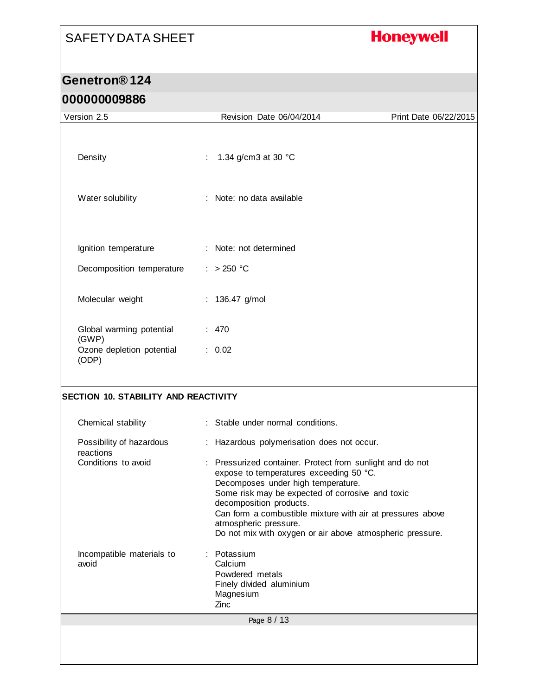## **Honeywell**

#### **Genetron® 124 000000009886**

| uuuuuuuuu                                   |                                                                                                                                                                                                                                                                                                                                                                               |                       |
|---------------------------------------------|-------------------------------------------------------------------------------------------------------------------------------------------------------------------------------------------------------------------------------------------------------------------------------------------------------------------------------------------------------------------------------|-----------------------|
| Version 2.5                                 | Revision Date 06/04/2014                                                                                                                                                                                                                                                                                                                                                      | Print Date 06/22/2015 |
| Density                                     | 1.34 g/cm3 at 30 °C<br>$\frac{1}{2}$                                                                                                                                                                                                                                                                                                                                          |                       |
| Water solubility                            | : Note: no data available                                                                                                                                                                                                                                                                                                                                                     |                       |
| Ignition temperature                        | : Note: not determined                                                                                                                                                                                                                                                                                                                                                        |                       |
| Decomposition temperature                   | : > 250 °C                                                                                                                                                                                                                                                                                                                                                                    |                       |
| Molecular weight                            | : $136.47$ g/mol                                                                                                                                                                                                                                                                                                                                                              |                       |
| Global warming potential<br>(GWP)           | : 470                                                                                                                                                                                                                                                                                                                                                                         |                       |
| Ozone depletion potential<br>(ODP)          | : 0.02                                                                                                                                                                                                                                                                                                                                                                        |                       |
| <b>SECTION 10. STABILITY AND REACTIVITY</b> |                                                                                                                                                                                                                                                                                                                                                                               |                       |
| Chemical stability                          | : Stable under normal conditions.                                                                                                                                                                                                                                                                                                                                             |                       |
| Possibility of hazardous<br>reactions       | : Hazardous polymerisation does not occur.                                                                                                                                                                                                                                                                                                                                    |                       |
| Conditions to avoid                         | : Pressurized container. Protect from sunlight and do not<br>expose to temperatures exceeding 50 °C.<br>Decomposes under high temperature.<br>Some risk may be expected of corrosive and toxic<br>decomposition products.<br>Can form a combustible mixture with air at pressures above<br>atmospheric pressure.<br>Do not mix with oxygen or air above atmospheric pressure. |                       |
| Incompatible materials to<br>avoid          | : Potassium<br>Calcium<br>Powdered metals<br>Finely divided aluminium<br>Magnesium<br>Zinc                                                                                                                                                                                                                                                                                    |                       |
|                                             | Page 8 / 13                                                                                                                                                                                                                                                                                                                                                                   |                       |
|                                             |                                                                                                                                                                                                                                                                                                                                                                               |                       |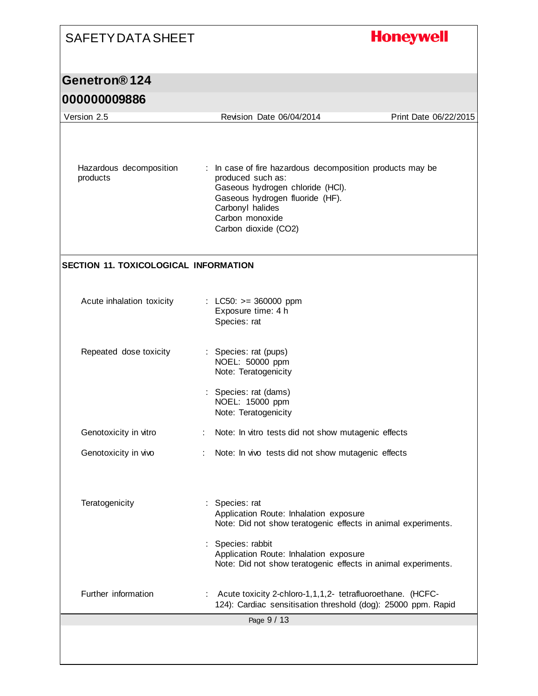| <b>SAFETY DATA SHEET</b>              |                                                                                                                                                                                                                      | <b>Honeywell</b>      |
|---------------------------------------|----------------------------------------------------------------------------------------------------------------------------------------------------------------------------------------------------------------------|-----------------------|
| Genetron <sup>®</sup> 124             |                                                                                                                                                                                                                      |                       |
|                                       |                                                                                                                                                                                                                      |                       |
| 000000009886                          |                                                                                                                                                                                                                      |                       |
| Version 2.5                           | Revision Date 06/04/2014                                                                                                                                                                                             | Print Date 06/22/2015 |
| Hazardous decomposition<br>products   | : In case of fire hazardous decomposition products may be<br>produced such as:<br>Gaseous hydrogen chloride (HCI).<br>Gaseous hydrogen fluoride (HF).<br>Carbonyl halides<br>Carbon monoxide<br>Carbon dioxide (CO2) |                       |
| SECTION 11. TOXICOLOGICAL INFORMATION |                                                                                                                                                                                                                      |                       |
| Acute inhalation toxicity             | : LC50: $>= 360000$ ppm<br>Exposure time: 4 h<br>Species: rat                                                                                                                                                        |                       |
| Repeated dose toxicity                | : Species: rat (pups)<br>NOEL: 50000 ppm<br>Note: Teratogenicity                                                                                                                                                     |                       |
|                                       | Species: rat (dams)<br>NOEL: 15000 ppm<br>Note: Teratogenicity                                                                                                                                                       |                       |
| Genotoxicity in vitro                 | Note: In vitro tests did not show mutagenic effects                                                                                                                                                                  |                       |
| Genotoxicity in vivo                  | Note: In vivo tests did not show mutagenic effects                                                                                                                                                                   |                       |
| Teratogenicity                        | Species: rat<br>Application Route: Inhalation exposure<br>Note: Did not show teratogenic effects in animal experiments.                                                                                              |                       |
|                                       | Species: rabbit<br>Application Route: Inhalation exposure<br>Note: Did not show teratogenic effects in animal experiments.                                                                                           |                       |
| Further information                   | Acute toxicity 2-chloro-1,1,1,2- tetrafluoroethane. (HCFC-<br>124): Cardiac sensitisation threshold (dog): 25000 ppm. Rapid                                                                                          |                       |
|                                       | Page 9 / 13                                                                                                                                                                                                          |                       |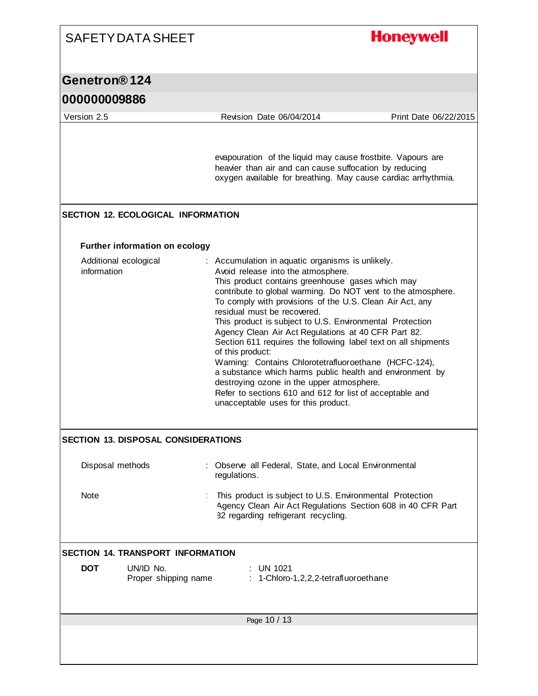| <b>SAFETY DATA SHEET</b>                        | <b>Honeywell</b>                                                                                                                                                                                                                                                                                                                                                                                                                                                                                                                                                                                                                                                                                                                                                                    |  |  |  |  |
|-------------------------------------------------|-------------------------------------------------------------------------------------------------------------------------------------------------------------------------------------------------------------------------------------------------------------------------------------------------------------------------------------------------------------------------------------------------------------------------------------------------------------------------------------------------------------------------------------------------------------------------------------------------------------------------------------------------------------------------------------------------------------------------------------------------------------------------------------|--|--|--|--|
| Genetron®124                                    |                                                                                                                                                                                                                                                                                                                                                                                                                                                                                                                                                                                                                                                                                                                                                                                     |  |  |  |  |
| 000000009886                                    |                                                                                                                                                                                                                                                                                                                                                                                                                                                                                                                                                                                                                                                                                                                                                                                     |  |  |  |  |
| Version 2.5                                     | Revision Date 06/04/2014<br>Print Date 06/22/2015                                                                                                                                                                                                                                                                                                                                                                                                                                                                                                                                                                                                                                                                                                                                   |  |  |  |  |
|                                                 | evapouration of the liquid may cause frostbite. Vapours are<br>heavier than air and can cause suffocation by reducing<br>oxygen available for breathing. May cause cardiac arrhythmia.                                                                                                                                                                                                                                                                                                                                                                                                                                                                                                                                                                                              |  |  |  |  |
| <b>SECTION 12. ECOLOGICAL INFORMATION</b>       |                                                                                                                                                                                                                                                                                                                                                                                                                                                                                                                                                                                                                                                                                                                                                                                     |  |  |  |  |
| <b>Further information on ecology</b>           |                                                                                                                                                                                                                                                                                                                                                                                                                                                                                                                                                                                                                                                                                                                                                                                     |  |  |  |  |
| Additional ecological<br>information            | : Accumulation in aquatic organisms is unlikely.<br>Avoid release into the atmosphere.<br>This product contains greenhouse gases which may<br>contribute to global warming. Do NOT vent to the atmosphere.<br>To comply with provisions of the U.S. Clean Air Act, any<br>residual must be recovered.<br>This product is subject to U.S. Environmental Protection<br>Agency Clean Air Act Regulations at 40 CFR Part 82.<br>Section 611 requires the following label text on all shipments<br>of this product:<br>Warning: Contains Chlorotetrafluoroethane (HCFC-124),<br>a substance which harms public health and environment by<br>destroying ozone in the upper atmosphere.<br>Refer to sections 610 and 612 for list of acceptable and<br>unacceptable uses for this product. |  |  |  |  |
| <b>SECTION 13. DISPOSAL CONSIDERATIONS</b>      |                                                                                                                                                                                                                                                                                                                                                                                                                                                                                                                                                                                                                                                                                                                                                                                     |  |  |  |  |
| Disposal methods                                | : Observe all Federal, State, and Local Environmental<br>regulations.                                                                                                                                                                                                                                                                                                                                                                                                                                                                                                                                                                                                                                                                                                               |  |  |  |  |
| Note                                            | This product is subject to U.S. Environmental Protection<br>Agency Clean Air Act Regulations Section 608 in 40 CFR Part<br>82 regarding refrigerant recycling.                                                                                                                                                                                                                                                                                                                                                                                                                                                                                                                                                                                                                      |  |  |  |  |
| <b>SECTION 14. TRANSPORT INFORMATION</b>        |                                                                                                                                                                                                                                                                                                                                                                                                                                                                                                                                                                                                                                                                                                                                                                                     |  |  |  |  |
| <b>DOT</b><br>UN/ID No.<br>Proper shipping name | <b>UN 1021</b><br>1-Chloro-1,2,2,2-tetrafluoroethane                                                                                                                                                                                                                                                                                                                                                                                                                                                                                                                                                                                                                                                                                                                                |  |  |  |  |
|                                                 | Page 10 / 13                                                                                                                                                                                                                                                                                                                                                                                                                                                                                                                                                                                                                                                                                                                                                                        |  |  |  |  |
|                                                 |                                                                                                                                                                                                                                                                                                                                                                                                                                                                                                                                                                                                                                                                                                                                                                                     |  |  |  |  |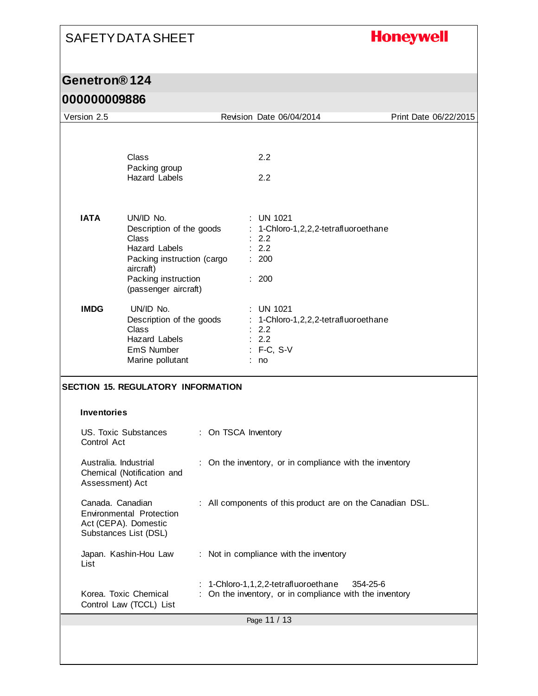## **Honeywell**

### **Genetron® 124**

| Version 2.5                              |                                                                                                                                                                  |                     | Revision Date 06/04/2014                                                                                  | Print Date 06/22/2015 |
|------------------------------------------|------------------------------------------------------------------------------------------------------------------------------------------------------------------|---------------------|-----------------------------------------------------------------------------------------------------------|-----------------------|
|                                          | Class                                                                                                                                                            |                     | 2.2                                                                                                       |                       |
|                                          | Packing group<br><b>Hazard Labels</b>                                                                                                                            |                     | 2.2                                                                                                       |                       |
| <b>IATA</b>                              | UN/ID No.<br>Description of the goods<br>Class<br><b>Hazard Labels</b><br>Packing instruction (cargo<br>aircraft)<br>Packing instruction<br>(passenger aircraft) |                     | $:$ UN 1021<br>1-Chloro-1,2,2,2-tetrafluoroethane<br>2.2<br>: 2.2<br>: 200<br>: 200                       |                       |
| <b>IMDG</b>                              | UN/ID No.<br>Description of the goods<br>Class<br>Hazard Labels<br>EmS Number<br>Marine pollutant                                                                |                     | <b>UN 1021</b><br>: 1-Chloro-1,2,2,2-tetrafluoroethane<br>2.2<br>: 2.2<br>: F-C, S-V<br>no                |                       |
| <b>Inventories</b>                       | <b>SECTION 15. REGULATORY INFORMATION</b>                                                                                                                        |                     |                                                                                                           |                       |
| Control Act                              | US. Toxic Substances                                                                                                                                             | : On TSCA Inventory |                                                                                                           |                       |
| Australia, Industrial<br>Assessment) Act | Chemical (Notification and                                                                                                                                       |                     | : On the inventory, or in compliance with the inventory                                                   |                       |
| Canada. Canadian                         | <b>Environmental Protection</b><br>Act (CEPA). Domestic<br>Substances List (DSL)                                                                                 |                     | : All components of this product are on the Canadian DSL.                                                 |                       |
| List                                     | Japan. Kashin-Hou Law                                                                                                                                            |                     | : Not in compliance with the inventory                                                                    |                       |
|                                          | Korea. Toxic Chemical<br>Control Law (TCCL) List                                                                                                                 |                     | : 1-Chloro-1,1,2,2-tetrafluoroethane<br>354-25-6<br>On the inventory, or in compliance with the inventory |                       |
|                                          |                                                                                                                                                                  |                     | Page 11 / 13                                                                                              |                       |
|                                          |                                                                                                                                                                  |                     |                                                                                                           |                       |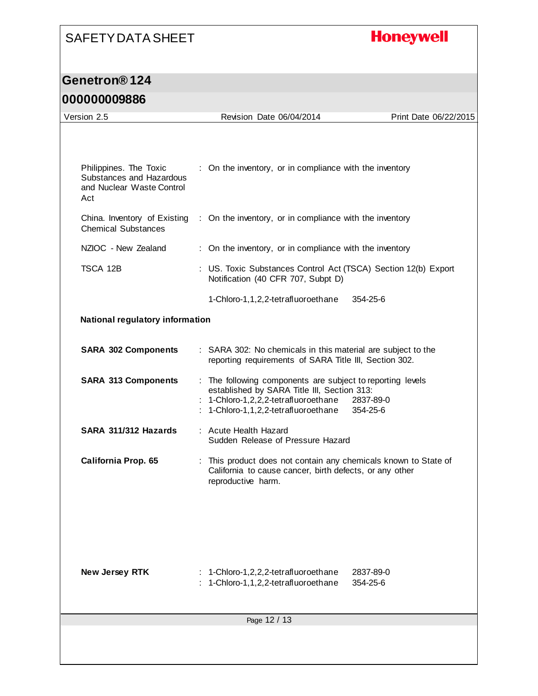## **Honeywell**

## **Genetron® 124**

| Version 2.5                                                      | Revision Date 06/04/2014                                                                                                                                                                | Print Date 06/22/2015 |
|------------------------------------------------------------------|-----------------------------------------------------------------------------------------------------------------------------------------------------------------------------------------|-----------------------|
| Philippines. The Toxic<br>Substances and Hazardous               | : On the inventory, or in compliance with the inventory                                                                                                                                 |                       |
| and Nuclear Waste Control<br>Act<br>China. Inventory of Existing | : On the inventory, or in compliance with the inventory                                                                                                                                 |                       |
| <b>Chemical Substances</b>                                       |                                                                                                                                                                                         |                       |
| NZIOC - New Zealand                                              | : On the inventory, or in compliance with the inventory                                                                                                                                 |                       |
| TSCA 12B                                                         | : US. Toxic Substances Control Act (TSCA) Section 12(b) Export<br>Notification (40 CFR 707, Subpt D)                                                                                    |                       |
|                                                                  | 1-Chloro-1,1,2,2-tetrafluoroethane                                                                                                                                                      | $354 - 25 - 6$        |
| <b>National regulatory information</b>                           |                                                                                                                                                                                         |                       |
| <b>SARA 302 Components</b>                                       | : SARA 302: No chemicals in this material are subject to the<br>reporting requirements of SARA Title III, Section 302.                                                                  |                       |
| <b>SARA 313 Components</b>                                       | : The following components are subject to reporting levels<br>established by SARA Title III, Section 313:<br>: 1-Chloro-1,2,2,2-tetrafluoroethane<br>1-Chloro-1,1,2,2-tetrafluoroethane | 2837-89-0<br>354-25-6 |
| SARA 311/312 Hazards                                             | : Acute Health Hazard<br>Sudden Release of Pressure Hazard                                                                                                                              |                       |
| California Prop. 65                                              | : This product does not contain any chemicals known to State of<br>California to cause cancer, birth defects, or any other<br>reproductive harm.                                        |                       |
| <b>New Jersey RTK</b>                                            | 1-Chloro-1,2,2,2-tetrafluoroethane<br>1-Chloro-1,1,2,2-tetrafluoroethane                                                                                                                | 2837-89-0<br>354-25-6 |
|                                                                  | Page 12 / 13                                                                                                                                                                            |                       |
|                                                                  |                                                                                                                                                                                         |                       |